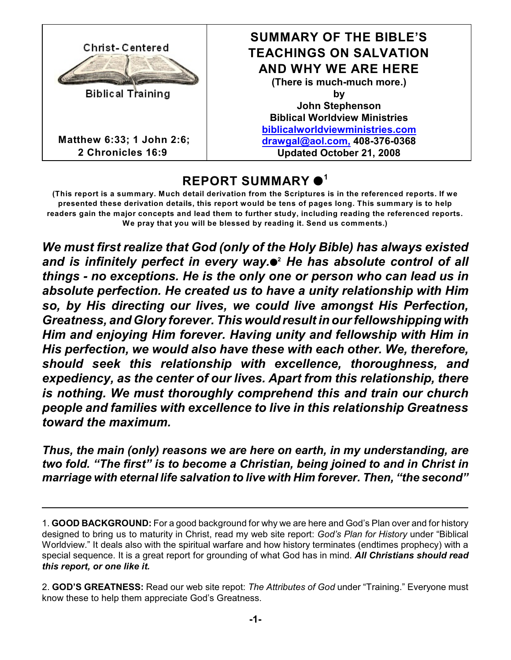

**Matthew 6:33; 1 John 2:6; 2 Chronicles 16:9**

### **SUMMARY OF THE BIBLE'S TEACHINGS ON SALVATION AND WHY WE ARE HERE (There is much-much more.) by John Stephenson Biblical Worldview Ministries [biblicalworldviewministries.com](file:///|//biblicalworldviewministries.com) [drawgal@aol.com,](mailto:drawgal@aol.com,) 408-376-0368 Updated October 21, 2008**

# **REPORT SUMMARY 1**

(This report is a summary. Much detail derivation from the Scriptures is in the referenced reports. If we **presented these derivation details, this report would be tens of pages long. This summary is to help readers gain the major concepts and lead them to further study, including reading the referenced reports. We pray that you will be blessed by reading it. Send us comments.)**

*We must first realize that God (only of the Holy Bible) has always existed and is infinitely perfect in every way.*  $\bullet$  *He has absolute control of all things - no exceptions. He is the only one or person who can lead us in absolute perfection. He created us to have a unity relationship with Him so, by His directing our lives, we could live amongst His Perfection, Greatness, and Glory forever. This wouldresult in our fellowshipping with Him and enjoying Him forever. Having unity and fellowship with Him in His perfection, we would also have these with each other. We, therefore, should seek this relationship with excellence, thoroughness, and expediency, as the center of our lives. Apart from this relationship, there is nothing. We must thoroughly comprehend this and train our church people and families with excellence to live in this relationship Greatness toward the maximum.*

*Thus, the main (only) reasons we are here on earth, in my understanding, are two fold. "The first" is to become a Christian, being joined to and in Christ in marriage with eternal life salvation to live with Him forever. Then, "the second"*

<sup>1.</sup> **GOOD BACKGROUND:** For a good background for why we are here and God's Plan over and for history designed to bring us to maturity in Christ, read my web site report: *God's Plan for History* under "Biblical Worldview." It deals also with the spiritual warfare and how history terminates (endtimes prophecy) with a special sequence. It is a great report for grounding of what God has in mind. *All Christians should read this report, or one like it.*

<sup>2.</sup> **GOD'S GREATNESS:** Read our web site repot: *The Attributes of God* under "Training." Everyone must know these to help them appreciate God's Greatness.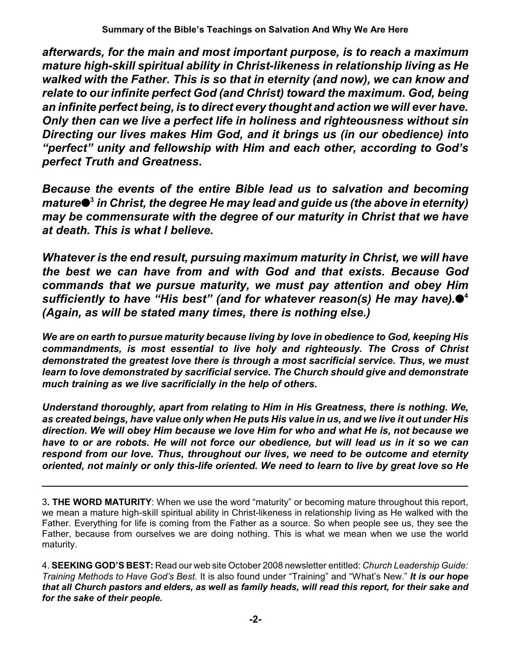*afterwards, for the main and most important purpose, is to reach a maximum mature high-skill spiritual ability in Christ-likeness in relationship living as He walked with the Father. This is so that in eternity (and now), we can know and relate to our infinite perfect God (and Christ) toward the maximum. God, being an infinite perfect being, is to direct every thought and action we will ever have. Only then can we live a perfect life in holiness and righteousness without sin Directing our lives makes Him God, and it brings us (in our obedience) into "perfect" unity and fellowship with Him and each other, according to God's perfect Truth and Greatness.* 

*Because the events of the entire Bible lead us to salvation and becoming mature in Christ, the degree He may lead and guide us (the above in eternity)* **3** *may be commensurate with the degree of our maturity in Christ that we have at death. This is what I believe.*

*Whatever is the end result, pursuing maximum maturity in Christ, we will have the best we can have from and with God and that exists. Because God commands that we pursue maturity, we must pay attention and obey Him sufficiently to have "His best" (and for whatever reason(s) He may have).* **4** *(Again, as will be stated many times, there is nothing else.)*

*We are on earth to pursue maturity because living by love in obedience to God, keeping His commandments, is most essential to live holy and righteously. The Cross of Christ demonstrated the greatest love there is through a most sacrificial service. Thus, we must learn to love demonstrated by sacrificial service. The Church should give and demonstrate much training as we live sacrificially in the help of others.*

*Understand thoroughly, apart from relating to Him in His Greatness, there is nothing. We, as created beings, have value only when He puts His value in us, and we live it out under His direction. We will obey Him because we love Him for who and what He is, not because we have to or are robots. He will not force our obedience, but will lead us in it so we can respond from our love. Thus, throughout our lives, we need to be outcome and eternity oriented, not mainly or only this-life oriented. We need to learn to live by great love so He*

3**. THE WORD MATURITY**: When we use the word "maturity" or becoming mature throughout this report, we mean a mature high-skill spiritual ability in Christ-likeness in relationship living as He walked with the Father. Everything for life is coming from the Father as a source. So when people see us, they see the Father, because from ourselves we are doing nothing. This is what we mean when we use the world maturity.

4. **SEEKING GOD'S BEST:** Read our web site October 2008 newsletter entitled: *Church Leadership Guide: Training Methods to Have God's Best.* It is also found under "Training" and "What's New." *It is our hope that all Church pastors and elders, as well as family heads, will read this report, for their sake and for the sake of their people.*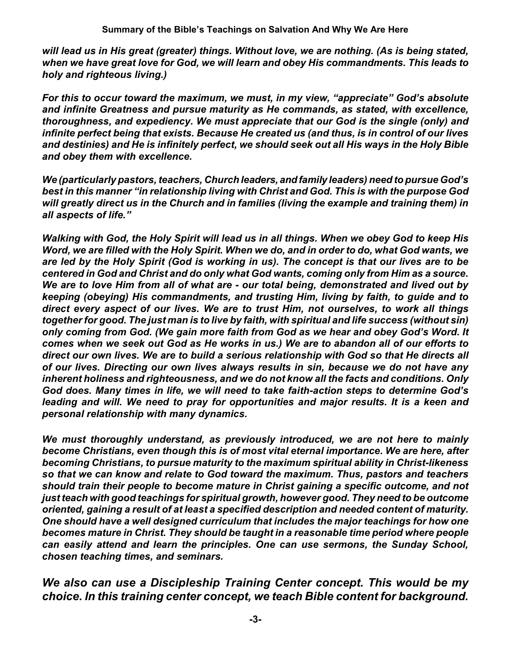*will lead us in His great (greater) things. Without love, we are nothing. (As is being stated, when we have great love for God, we will learn and obey His commandments. This leads to holy and righteous living.)*

*For this to occur toward the maximum, we must, in my view, "appreciate" God's absolute and infinite Greatness and pursue maturity as He commands, as stated, with excellence, thoroughness, and expediency. We must appreciate that our God is the single (only) and infinite perfect being that exists. Because He created us (and thus, is in control of our lives and destinies) and He is infinitely perfect, we should seek out all His ways in the Holy Bible and obey them with excellence.*

*We (particularly pastors, teachers, Church leaders, andfamily leaders) need to pursue God's best in this manner "in relationship living with Christ and God. This is with the purpose God will greatly direct us in the Church and in families (living the example and training them) in all aspects of life."*

*Walking with God, the Holy Spirit will lead us in all things. When we obey God to keep His Word, we are filled with the Holy Spirit. When we do, and in order to do, what God wants, we are led by the Holy Spirit (God is working in us). The concept is that our lives are to be centered in God and Christ and do only what God wants, coming only from Him as a source. We are to love Him from all of what are - our total being, demonstrated and lived out by keeping (obeying) His commandments, and trusting Him, living by faith, to guide and to direct every aspect of our lives. We are to trust Him, not ourselves, to work all things together for good. The just man is to live by faith, with spiritual and life success (without sin) only coming from God. (We gain more faith from God as we hear and obey God's Word. It comes when we seek out God as He works in us.) We are to abandon all of our efforts to direct our own lives. We are to build a serious relationship with God so that He directs all of our lives. Directing our own lives always results in sin, because we do not have any inherent holiness and righteousness, and we do not know all the facts and conditions. Only God does. Many times in life, we will need to take faith-action steps to determine God's leading and will. We need to pray for opportunities and major results. It is a keen and personal relationship with many dynamics.*

*We must thoroughly understand, as previously introduced, we are not here to mainly become Christians, even though this is of most vital eternal importance. We are here, after becoming Christians, to pursue maturity to the maximum spiritual ability in Christ-likeness so that we can know and relate to God toward the maximum. Thus, pastors and teachers should train their people to become mature in Christ gaining a specific outcome, and not just teach with good teachings for spiritual growth, however good. They need to be outcome oriented, gaining a result of at least a specified description and needed content of maturity. One should have a well designed curriculum that includes the major teachings for how one becomes mature in Christ. They should be taught in a reasonable time period where people can easily attend and learn the principles. One can use sermons, the Sunday School, chosen teaching times, and seminars.* 

*We also can use a Discipleship Training Center concept. This would be my choice. In this training center concept, we teach Bible content for background.*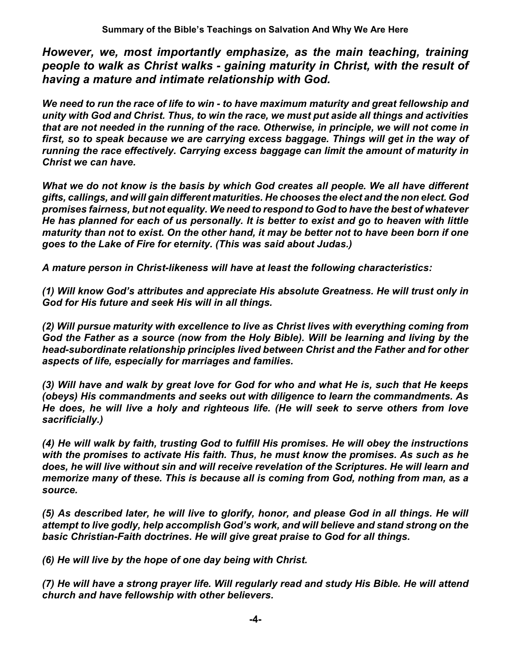*However, we, most importantly emphasize, as the main teaching, training people to walk as Christ walks - gaining maturity in Christ, with the result of having a mature and intimate relationship with God.*

*We need to run the race of life to win - to have maximum maturity and great fellowship and unity with God and Christ. Thus, to win the race, we must put aside all things and activities that are not needed in the running of the race. Otherwise, in principle, we will not come in first, so to speak because we are carrying excess baggage. Things will get in the way of running the race effectively. Carrying excess baggage can limit the amount of maturity in Christ we can have.*

*What we do not know is the basis by which God creates all people. We all have different gifts, callings, and will gain different maturities. He chooses the elect and the non elect. God promises fairness, but not equality. We need to respond to God to have the best of whatever He has planned for each of us personally. It is better to exist and go to heaven with little maturity than not to exist. On the other hand, it may be better not to have been born if one goes to the Lake of Fire for eternity. (This was said about Judas.)*

*A mature person in Christ-likeness will have at least the following characteristics:*

*(1) Will know God's attributes and appreciate His absolute Greatness. He will trust only in God for His future and seek His will in all things.*

*(2) Will pursue maturity with excellence to live as Christ lives with everything coming from God the Father as a source (now from the Holy Bible). Will be learning and living by the head-subordinate relationship principles lived between Christ and the Father and for other aspects of life, especially for marriages and families.*

*(3) Will have and walk by great love for God for who and what He is, such that He keeps (obeys) His commandments and seeks out with diligence to learn the commandments. As He does, he will live a holy and righteous life. (He will seek to serve others from love sacrificially.)*

*(4) He will walk by faith, trusting God to fulfill His promises. He will obey the instructions with the promises to activate His faith. Thus, he must know the promises. As such as he does, he will live without sin and will receive revelation of the Scriptures. He will learn and memorize many of these. This is because all is coming from God, nothing from man, as a source.*

*(5) As described later, he will live to glorify, honor, and please God in all things. He will attempt to live godly, help accomplish God's work, and will believe and stand strong on the basic Christian-Faith doctrines. He will give great praise to God for all things.*

*(6) He will live by the hope of one day being with Christ.*

*(7) He will have a strong prayer life. Will regularly read and study His Bible. He will attend church and have fellowship with other believers.*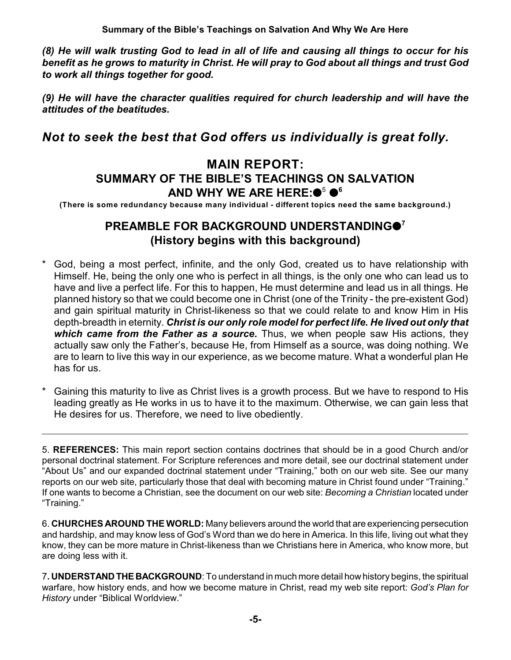*(8) He will walk trusting God to lead in all of life and causing all things to occur for his benefit as he grows to maturity in Christ. He will pray to God about all things and trust God to work all things together for good.*

*(9) He will have the character qualities required for church leadership and will have the attitudes of the beatitudes.*

## *Not to seek the best that God offers us individually is great folly.*

## **MAIN REPORT: SUMMARY OF THE BIBLE'S TEACHINGS ON SALVATION** AND WHY WE ARE HERE:●<sup>5</sup> ●<sup>6</sup>

**(There is some redundancy because many individual - different topics need the same background.)**

## **PREAMBLE FOR BACKGROUND UNDERSTANDING 7 (History begins with this background)**

- God, being a most perfect, infinite, and the only God, created us to have relationship with Himself. He, being the only one who is perfect in all things, is the only one who can lead us to have and live a perfect life. For this to happen, He must determine and lead us in all things. He planned history so that we could become one in Christ (one of the Trinity - the pre-existent God) and gain spiritual maturity in Christ-likeness so that we could relate to and know Him in His depth-breadth in eternity. *Christ is our only role model for perfect life. He lived out only that which came from the Father as a source.* Thus, we when people saw His actions, they actually saw only the Father's, because He, from Himself as a source, was doing nothing. We are to learn to live this way in our experience, as we become mature. What a wonderful plan He has for us.
- Gaining this maturity to live as Christ lives is a growth process. But we have to respond to His leading greatly as He works in us to have it to the maximum. Otherwise, we can gain less that He desires for us. Therefore, we need to live obediently.

5. **REFERENCES:** This main report section contains doctrines that should be in a good Church and/or personal doctrinal statement. For Scripture references and more detail, see our doctrinal statement under "About Us" and our expanded doctrinal statement under "Training," both on our web site. See our many reports on our web site, particularly those that deal with becoming mature in Christ found under "Training." If one wants to become a Christian, see the document on our web site: *Becoming a Christian* located under "Training."

6. **CHURCHES AROUND THE WORLD:** Many believers around the world that are experiencing persecution and hardship, and may know less of God's Word than we do here in America. In this life, living out what they know, they can be more mature in Christ-likeness than we Christians here in America, who know more, but are doing less with it.

7**. UNDERSTAND THE BACKGROUND**: To understand in much more detail how history begins, the spiritual warfare, how history ends, and how we become mature in Christ, read my web site report: *God's Plan for History* under "Biblical Worldview."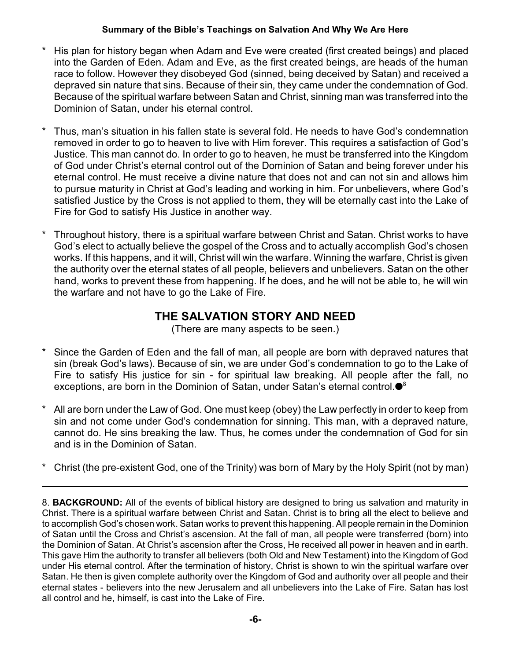- His plan for history began when Adam and Eve were created (first created beings) and placed into the Garden of Eden. Adam and Eve, as the first created beings, are heads of the human race to follow. However they disobeyed God (sinned, being deceived by Satan) and received a depraved sin nature that sins. Because of their sin, they came under the condemnation of God. Because of the spiritual warfare between Satan and Christ, sinning man was transferred into the Dominion of Satan, under his eternal control.
- \* Thus, man's situation in his fallen state is several fold. He needs to have God's condemnation removed in order to go to heaven to live with Him forever. This requires a satisfaction of God's Justice. This man cannot do. In order to go to heaven, he must be transferred into the Kingdom of God under Christ's eternal control out of the Dominion of Satan and being forever under his eternal control. He must receive a divine nature that does not and can not sin and allows him to pursue maturity in Christ at God's leading and working in him. For unbelievers, where God's satisfied Justice by the Cross is not applied to them, they will be eternally cast into the Lake of Fire for God to satisfy His Justice in another way.
- Throughout history, there is a spiritual warfare between Christ and Satan. Christ works to have God's elect to actually believe the gospel of the Cross and to actually accomplish God's chosen works. If this happens, and it will, Christ will win the warfare. Winning the warfare, Christ is given the authority over the eternal states of all people, believers and unbelievers. Satan on the other hand, works to prevent these from happening. If he does, and he will not be able to, he will win the warfare and not have to go the Lake of Fire.

## **THE SALVATION STORY AND NEED**

(There are many aspects to be seen.)

- Since the Garden of Eden and the fall of man, all people are born with depraved natures that sin (break God's laws). Because of sin, we are under God's condemnation to go to the Lake of Fire to satisfy His justice for sin - for spiritual law breaking. All people after the fall, no exceptions, are born in the Dominion of Satan, under Satan's eternal control.<sup>®</sup>
- All are born under the Law of God. One must keep (obey) the Law perfectly in order to keep from sin and not come under God's condemnation for sinning. This man, with a depraved nature, cannot do. He sins breaking the law. Thus, he comes under the condemnation of God for sin and is in the Dominion of Satan.
- \* Christ (the pre-existent God, one of the Trinity) was born of Mary by the Holy Spirit (not by man)

<sup>8.</sup> **BACKGROUND:** All of the events of biblical history are designed to bring us salvation and maturity in Christ. There is a spiritual warfare between Christ and Satan. Christ is to bring all the elect to believe and to accomplish God's chosen work. Satan works to prevent this happening. All people remain in the Dominion of Satan until the Cross and Christ's ascension. At the fall of man, all people were transferred (born) into the Dominion of Satan. At Christ's ascension after the Cross, He received all power in heaven and in earth. This gave Him the authority to transfer all believers (both Old and New Testament) into the Kingdom of God under His eternal control. After the termination of history, Christ is shown to win the spiritual warfare over Satan. He then is given complete authority over the Kingdom of God and authority over all people and their eternal states - believers into the new Jerusalem and all unbelievers into the Lake of Fire. Satan has lost all control and he, himself, is cast into the Lake of Fire.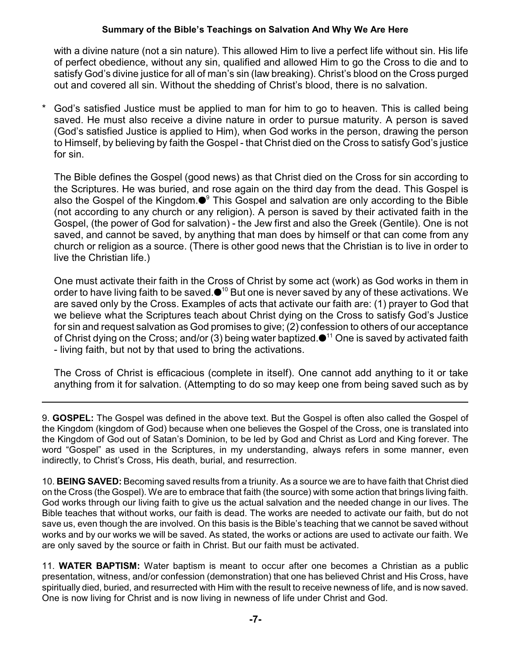with a divine nature (not a sin nature). This allowed Him to live a perfect life without sin. His life of perfect obedience, without any sin, qualified and allowed Him to go the Cross to die and to satisfy God's divine justice for all of man's sin (law breaking). Christ's blood on the Cross purged out and covered all sin. Without the shedding of Christ's blood, there is no salvation.

\* God's satisfied Justice must be applied to man for him to go to heaven. This is called being saved. He must also receive a divine nature in order to pursue maturity. A person is saved (God's satisfied Justice is applied to Him), when God works in the person, drawing the person to Himself, by believing by faith the Gospel - that Christ died on the Cross to satisfy God's justice for sin.

The Bible defines the Gospel (good news) as that Christ died on the Cross for sin according to the Scriptures. He was buried, and rose again on the third day from the dead. This Gospel is also the Gospel of the Kingdom. $\bullet^9$  This Gospel and salvation are only according to the Bible (not according to any church or any religion). A person is saved by their activated faith in the Gospel, (the power of God for salvation) - the Jew first and also the Greek (Gentile). One is not saved, and cannot be saved, by anything that man does by himself or that can come from any church or religion as a source. (There is other good news that the Christian is to live in order to live the Christian life.)

One must activate their faith in the Cross of Christ by some act (work) as God works in them in order to have living faith to be saved. $\bullet^{10}$  But one is never saved by any of these activations. We are saved only by the Cross. Examples of acts that activate our faith are: (1) prayer to God that we believe what the Scriptures teach about Christ dying on the Cross to satisfy God's Justice for sin and request salvation as God promises to give; (2) confession to others of our acceptance of Christ dying on the Cross; and/or (3) being water baptized. $\bullet$ <sup>11</sup> One is saved by activated faith - living faith, but not by that used to bring the activations.

The Cross of Christ is efficacious (complete in itself). One cannot add anything to it or take anything from it for salvation. (Attempting to do so may keep one from being saved such as by

9. **GOSPEL:** The Gospel was defined in the above text. But the Gospel is often also called the Gospel of the Kingdom (kingdom of God) because when one believes the Gospel of the Cross, one is translated into the Kingdom of God out of Satan's Dominion, to be led by God and Christ as Lord and King forever. The word "Gospel" as used in the Scriptures, in my understanding, always refers in some manner, even indirectly, to Christ's Cross, His death, burial, and resurrection.

10. **BEING SAVED:** Becoming saved results from a triunity. As a source we are to have faith that Christ died on the Cross (the Gospel). We are to embrace that faith (the source) with some action that brings living faith. God works through our living faith to give us the actual salvation and the needed change in our lives. The Bible teaches that without works, our faith is dead. The works are needed to activate our faith, but do not save us, even though the are involved. On this basis is the Bible's teaching that we cannot be saved without works and by our works we will be saved. As stated, the works or actions are used to activate our faith. We are only saved by the source or faith in Christ. But our faith must be activated.

11. **WATER BAPTISM:** Water baptism is meant to occur after one becomes a Christian as a public presentation, witness, and/or confession (demonstration) that one has believed Christ and His Cross, have spiritually died, buried, and resurrected with Him with the result to receive newness of life, and is now saved. One is now living for Christ and is now living in newness of life under Christ and God.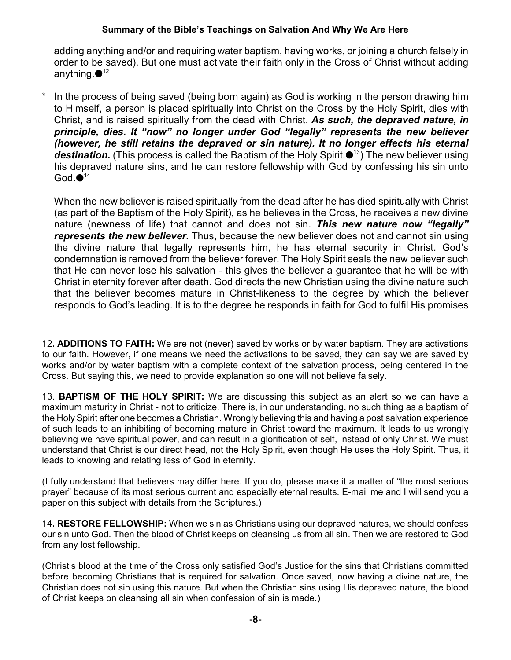adding anything and/or and requiring water baptism, having works, or joining a church falsely in order to be saved). But one must activate their faith only in the Cross of Christ without adding anything. $\bullet$ 12

In the process of being saved (being born again) as God is working in the person drawing him to Himself, a person is placed spiritually into Christ on the Cross by the Holy Spirit, dies with Christ, and is raised spiritually from the dead with Christ. *As such, the depraved nature, in principle, dies. It "now" no longer under God "legally" represents the new believer (however, he still retains the depraved or sin nature). It no longer effects his eternal* **destination.** (This process is called the Baptism of the Holy Spirit. $\bullet$ <sup>13</sup>) The new believer using his depraved nature sins, and he can restore fellowship with God by confessing his sin unto God. $\bullet$ <sup>14</sup>

When the new believer is raised spiritually from the dead after he has died spiritually with Christ (as part of the Baptism of the Holy Spirit), as he believes in the Cross, he receives a new divine nature (newness of life) that cannot and does not sin. *This new nature now "legally" represents the new believer.* Thus, because the new believer does not and cannot sin using the divine nature that legally represents him, he has eternal security in Christ. God's condemnation is removed from the believer forever. The Holy Spirit seals the new believer such that He can never lose his salvation - this gives the believer a guarantee that he will be with Christ in eternity forever after death. God directs the new Christian using the divine nature such that the believer becomes mature in Christ-likeness to the degree by which the believer responds to God's leading. It is to the degree he responds in faith for God to fulfil His promises

12**. ADDITIONS TO FAITH:** We are not (never) saved by works or by water baptism. They are activations to our faith. However, if one means we need the activations to be saved, they can say we are saved by works and/or by water baptism with a complete context of the salvation process, being centered in the Cross. But saying this, we need to provide explanation so one will not believe falsely.

13. **BAPTISM OF THE HOLY SPIRIT:** We are discussing this subject as an alert so we can have a maximum maturity in Christ - not to criticize. There is, in our understanding, no such thing as a baptism of the Holy Spirit after one becomes a Christian. Wrongly believing this and having a post salvation experience of such leads to an inhibiting of becoming mature in Christ toward the maximum. It leads to us wrongly believing we have spiritual power, and can result in a glorification of self, instead of only Christ. We must understand that Christ is our direct head, not the Holy Spirit, even though He uses the Holy Spirit. Thus, it leads to knowing and relating less of God in eternity.

(I fully understand that believers may differ here. If you do, please make it a matter of "the most serious prayer" because of its most serious current and especially eternal results. E-mail me and I will send you a paper on this subject with details from the Scriptures.)

14**. RESTORE FELLOWSHIP:** When we sin as Christians using our depraved natures, we should confess our sin unto God. Then the blood of Christ keeps on cleansing us from all sin. Then we are restored to God from any lost fellowship.

(Christ's blood at the time of the Cross only satisfied God's Justice for the sins that Christians committed before becoming Christians that is required for salvation. Once saved, now having a divine nature, the Christian does not sin using this nature. But when the Christian sins using His depraved nature, the blood of Christ keeps on cleansing all sin when confession of sin is made.)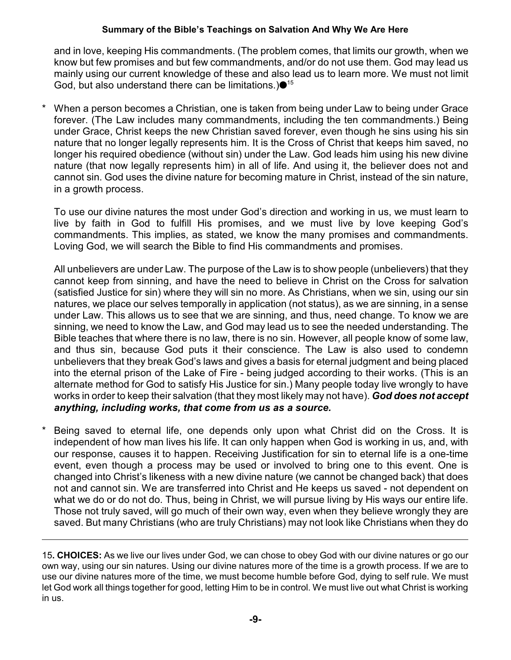and in love, keeping His commandments. (The problem comes, that limits our growth, when we know but few promises and but few commandments, and/or do not use them. God may lead us mainly using our current knowledge of these and also lead us to learn more. We must not limit God, but also understand there can be limitations.) $\bullet$ <sup>15</sup>

When a person becomes a Christian, one is taken from being under Law to being under Grace forever. (The Law includes many commandments, including the ten commandments.) Being under Grace, Christ keeps the new Christian saved forever, even though he sins using his sin nature that no longer legally represents him. It is the Cross of Christ that keeps him saved, no longer his required obedience (without sin) under the Law. God leads him using his new divine nature (that now legally represents him) in all of life. And using it, the believer does not and cannot sin. God uses the divine nature for becoming mature in Christ, instead of the sin nature, in a growth process.

To use our divine natures the most under God's direction and working in us, we must learn to live by faith in God to fulfill His promises, and we must live by love keeping God's commandments. This implies, as stated, we know the many promises and commandments. Loving God, we will search the Bible to find His commandments and promises.

All unbelievers are under Law. The purpose of the Law is to show people (unbelievers) that they cannot keep from sinning, and have the need to believe in Christ on the Cross for salvation (satisfied Justice for sin) where they will sin no more. As Christians, when we sin, using our sin natures, we place our selves temporally in application (not status), as we are sinning, in a sense under Law. This allows us to see that we are sinning, and thus, need change. To know we are sinning, we need to know the Law, and God may lead us to see the needed understanding. The Bible teaches that where there is no law, there is no sin. However, all people know of some law, and thus sin, because God puts it their conscience. The Law is also used to condemn unbelievers that they break God's laws and gives a basis for eternal judgment and being placed into the eternal prison of the Lake of Fire - being judged according to their works. (This is an alternate method for God to satisfy His Justice for sin.) Many people today live wrongly to have works in order to keep their salvation (that they most likely may not have). *God does not accept anything, including works, that come from us as a source.*

Being saved to eternal life, one depends only upon what Christ did on the Cross. It is independent of how man lives his life. It can only happen when God is working in us, and, with our response, causes it to happen. Receiving Justification for sin to eternal life is a one-time event, even though a process may be used or involved to bring one to this event. One is changed into Christ's likeness with a new divine nature (we cannot be changed back) that does not and cannot sin. We are transferred into Christ and He keeps us saved - not dependent on what we do or do not do. Thus, being in Christ, we will pursue living by His ways our entire life. Those not truly saved, will go much of their own way, even when they believe wrongly they are saved. But many Christians (who are truly Christians) may not look like Christians when they do

15**. CHOICES:** As we live our lives under God, we can chose to obey God with our divine natures or go our own way, using our sin natures. Using our divine natures more of the time is a growth process. If we are to use our divine natures more of the time, we must become humble before God, dying to self rule. We must let God work all things together for good, letting Him to be in control. We must live out what Christ is working in us.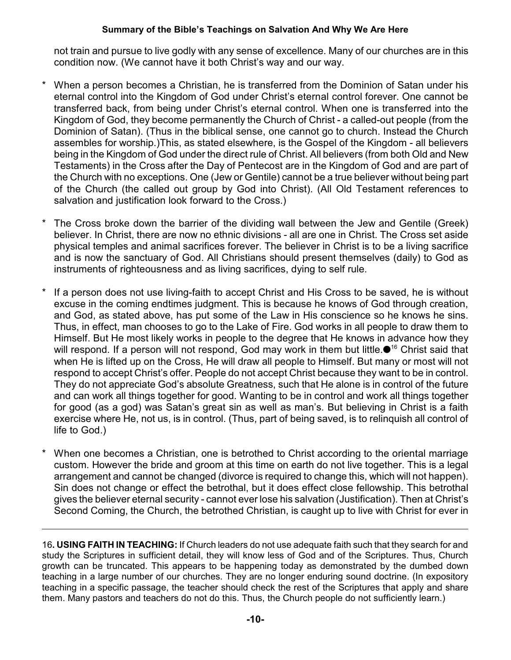not train and pursue to live godly with any sense of excellence. Many of our churches are in this condition now. (We cannot have it both Christ's way and our way.

- When a person becomes a Christian, he is transferred from the Dominion of Satan under his eternal control into the Kingdom of God under Christ's eternal control forever. One cannot be transferred back, from being under Christ's eternal control. When one is transferred into the Kingdom of God, they become permanently the Church of Christ - a called-out people (from the Dominion of Satan). (Thus in the biblical sense, one cannot go to church. Instead the Church assembles for worship.)This, as stated elsewhere, is the Gospel of the Kingdom - all believers being in the Kingdom of God under the direct rule of Christ. All believers (from both Old and New Testaments) in the Cross after the Day of Pentecost are in the Kingdom of God and are part of the Church with no exceptions. One (Jew or Gentile) cannot be a true believer without being part of the Church (the called out group by God into Christ). (All Old Testament references to salvation and justification look forward to the Cross.)
- The Cross broke down the barrier of the dividing wall between the Jew and Gentile (Greek) believer. In Christ, there are now no ethnic divisions - all are one in Christ. The Cross set aside physical temples and animal sacrifices forever. The believer in Christ is to be a living sacrifice and is now the sanctuary of God. All Christians should present themselves (daily) to God as instruments of righteousness and as living sacrifices, dying to self rule.
- If a person does not use living-faith to accept Christ and His Cross to be saved, he is without excuse in the coming endtimes judgment. This is because he knows of God through creation, and God, as stated above, has put some of the Law in His conscience so he knows he sins. Thus, in effect, man chooses to go to the Lake of Fire. God works in all people to draw them to Himself. But He most likely works in people to the degree that He knows in advance how they will respond. If a person will not respond, God may work in them but little. $\bullet$ <sup>16</sup> Christ said that when He is lifted up on the Cross, He will draw all people to Himself. But many or most will not respond to accept Christ's offer. People do not accept Christ because they want to be in control. They do not appreciate God's absolute Greatness, such that He alone is in control of the future and can work all things together for good. Wanting to be in control and work all things together for good (as a god) was Satan's great sin as well as man's. But believing in Christ is a faith exercise where He, not us, is in control. (Thus, part of being saved, is to relinquish all control of life to God.)
- When one becomes a Christian, one is betrothed to Christ according to the oriental marriage custom. However the bride and groom at this time on earth do not live together. This is a legal arrangement and cannot be changed (divorce is required to change this, which will not happen). Sin does not change or effect the betrothal, but it does effect close fellowship. This betrothal gives the believer eternal security - cannot ever lose his salvation (Justification). Then at Christ's Second Coming, the Church, the betrothed Christian, is caught up to live with Christ for ever in

16**. USING FAITH IN TEACHING:** If Church leaders do not use adequate faith such that they search for and study the Scriptures in sufficient detail, they will know less of God and of the Scriptures. Thus, Church growth can be truncated. This appears to be happening today as demonstrated by the dumbed down teaching in a large number of our churches. They are no longer enduring sound doctrine. (In expository teaching in a specific passage, the teacher should check the rest of the Scriptures that apply and share them. Many pastors and teachers do not do this. Thus, the Church people do not sufficiently learn.)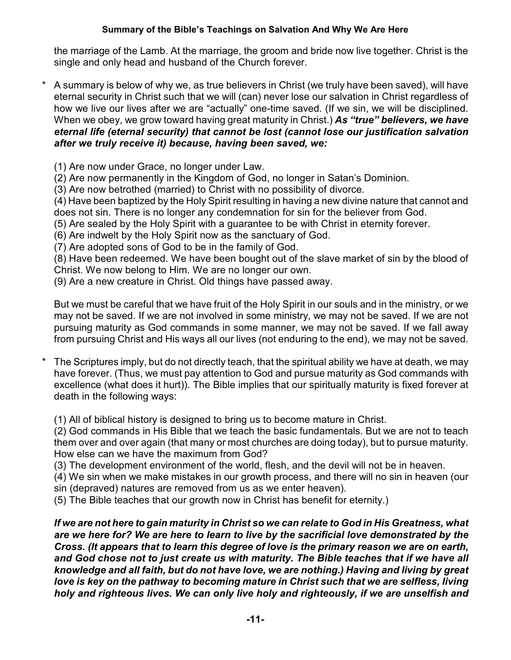the marriage of the Lamb. At the marriage, the groom and bride now live together. Christ is the single and only head and husband of the Church forever.

- A summary is below of why we, as true believers in Christ (we truly have been saved), will have eternal security in Christ such that we will (can) never lose our salvation in Christ regardless of how we live our lives after we are "actually" one-time saved. (If we sin, we will be disciplined. When we obey, we grow toward having great maturity in Christ.) *As "true" believers, we have eternal life (eternal security) that cannot be lost (cannot lose our justification salvation after we truly receive it) because, having been saved, we:*
	- (1) Are now under Grace, no longer under Law.
	- (2) Are now permanently in the Kingdom of God, no longer in Satan's Dominion.
	- (3) Are now betrothed (married) to Christ with no possibility of divorce.

(4) Have been baptized by the Holy Spirit resulting in having a new divine nature that cannot and does not sin. There is no longer any condemnation for sin for the believer from God.

(5) Are sealed by the Holy Spirit with a guarantee to be with Christ in eternity forever.

- (6) Are indwelt by the Holy Spirit now as the sanctuary of God.
- (7) Are adopted sons of God to be in the family of God.

(8) Have been redeemed. We have been bought out of the slave market of sin by the blood of Christ. We now belong to Him. We are no longer our own.

(9) Are a new creature in Christ. Old things have passed away.

But we must be careful that we have fruit of the Holy Spirit in our souls and in the ministry, or we may not be saved. If we are not involved in some ministry, we may not be saved. If we are not pursuing maturity as God commands in some manner, we may not be saved. If we fall away from pursuing Christ and His ways all our lives (not enduring to the end), we may not be saved.

The Scriptures imply, but do not directly teach, that the spiritual ability we have at death, we may have forever. (Thus, we must pay attention to God and pursue maturity as God commands with excellence (what does it hurt)). The Bible implies that our spiritually maturity is fixed forever at death in the following ways:

(1) All of biblical history is designed to bring us to become mature in Christ.

(2) God commands in His Bible that we teach the basic fundamentals. But we are not to teach them over and over again (that many or most churches are doing today), but to pursue maturity. How else can we have the maximum from God?

(3) The development environment of the world, flesh, and the devil will not be in heaven.

(4) We sin when we make mistakes in our growth process, and there will no sin in heaven (our sin (depraved) natures are removed from us as we enter heaven).

(5) The Bible teaches that our growth now in Christ has benefit for eternity.)

*If we are not here to gain maturity in Christ so we can relate to God in His Greatness, what are we here for? We are here to learn to live by the sacrificial love demonstrated by the Cross. (It appears that to learn this degree of love is the primary reason we are on earth, and God chose not to just create us with maturity. The Bible teaches that if we have all knowledge and all faith, but do not have love, we are nothing.) Having and living by great love is key on the pathway to becoming mature in Christ such that we are selfless, living holy and righteous lives. We can only live holy and righteously, if we are unselfish and*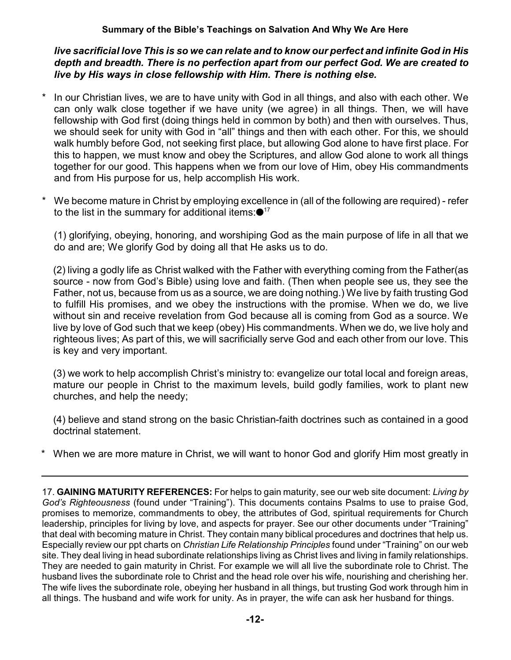*live sacrificial love This is so we can relate and to know our perfect and infinite God in His depth and breadth. There is no perfection apart from our perfect God. We are created to live by His ways in close fellowship with Him. There is nothing else.*

- \* In our Christian lives, we are to have unity with God in all things, and also with each other. We can only walk close together if we have unity (we agree) in all things. Then, we will have fellowship with God first (doing things held in common by both) and then with ourselves. Thus, we should seek for unity with God in "all" things and then with each other. For this, we should walk humbly before God, not seeking first place, but allowing God alone to have first place. For this to happen, we must know and obey the Scriptures, and allow God alone to work all things together for our good. This happens when we from our love of Him, obey His commandments and from His purpose for us, help accomplish His work.
- We become mature in Christ by employing excellence in (all of the following are required) refer to the list in the summary for additional items: $\bullet$ <sup>17</sup>

(1) glorifying, obeying, honoring, and worshiping God as the main purpose of life in all that we do and are; We glorify God by doing all that He asks us to do.

(2) living a godly life as Christ walked with the Father with everything coming from the Father(as source - now from God's Bible) using love and faith. (Then when people see us, they see the Father, not us, because from us as a source, we are doing nothing.) We live by faith trusting God to fulfill His promises, and we obey the instructions with the promise. When we do, we live without sin and receive revelation from God because all is coming from God as a source. We live by love of God such that we keep (obey) His commandments. When we do, we live holy and righteous lives; As part of this, we will sacrificially serve God and each other from our love. This is key and very important.

(3) we work to help accomplish Christ's ministry to: evangelize our total local and foreign areas, mature our people in Christ to the maximum levels, build godly families, work to plant new churches, and help the needy;

(4) believe and stand strong on the basic Christian-faith doctrines such as contained in a good doctrinal statement.

When we are more mature in Christ, we will want to honor God and glorify Him most greatly in

17. **GAINING MATURITY REFERENCES:** For helps to gain maturity, see our web site document: *Living by God's Righteousness* (found under "Training"). This documents contains Psalms to use to praise God, promises to memorize, commandments to obey, the attributes of God, spiritual requirements for Church leadership, principles for living by love, and aspects for prayer. See our other documents under "Training" that deal with becoming mature in Christ. They contain many biblical procedures and doctrines that help us. Especially review our ppt charts on *Christian Life Relationship Principles* found under "Training" on our web site. They deal living in head subordinate relationships living as Christ lives and living in family relationships. They are needed to gain maturity in Christ. For example we will all live the subordinate role to Christ. The husband lives the subordinate role to Christ and the head role over his wife, nourishing and cherishing her. The wife lives the subordinate role, obeying her husband in all things, but trusting God work through him in all things. The husband and wife work for unity. As in prayer, the wife can ask her husband for things.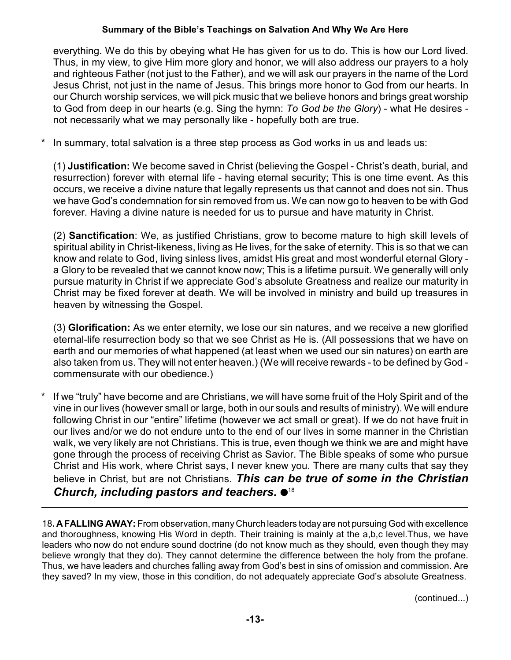everything. We do this by obeying what He has given for us to do. This is how our Lord lived. Thus, in my view, to give Him more glory and honor, we will also address our prayers to a holy and righteous Father (not just to the Father), and we will ask our prayers in the name of the Lord Jesus Christ, not just in the name of Jesus. This brings more honor to God from our hearts. In our Church worship services, we will pick music that we believe honors and brings great worship to God from deep in our hearts (e.g. Sing the hymn: *To God be the Glory*) - what He desires not necessarily what we may personally like - hopefully both are true.

In summary, total salvation is a three step process as God works in us and leads us:

(1) **Justification:** We become saved in Christ (believing the Gospel - Christ's death, burial, and resurrection) forever with eternal life - having eternal security; This is one time event. As this occurs, we receive a divine nature that legally represents us that cannot and does not sin. Thus we have God's condemnation for sin removed from us. We can now go to heaven to be with God forever. Having a divine nature is needed for us to pursue and have maturity in Christ.

(2) **Sanctification**: We, as justified Christians, grow to become mature to high skill levels of spiritual ability in Christ-likeness, living as He lives, for the sake of eternity. This is so that we can know and relate to God, living sinless lives, amidst His great and most wonderful eternal Glory a Glory to be revealed that we cannot know now; This is a lifetime pursuit. We generally will only pursue maturity in Christ if we appreciate God's absolute Greatness and realize our maturity in Christ may be fixed forever at death. We will be involved in ministry and build up treasures in heaven by witnessing the Gospel.

(3) **Glorification:** As we enter eternity, we lose our sin natures, and we receive a new glorified eternal-life resurrection body so that we see Christ as He is. (All possessions that we have on earth and our memories of what happened (at least when we used our sin natures) on earth are also taken from us. They will not enter heaven.) (We will receive rewards - to be defined by God commensurate with our obedience.)

If we "truly" have become and are Christians, we will have some fruit of the Holy Spirit and of the vine in our lives (however small or large, both in our souls and results of ministry). We will endure following Christ in our "entire" lifetime (however we act small or great). If we do not have fruit in our lives and/or we do not endure unto to the end of our lives in some manner in the Christian walk, we very likely are not Christians. This is true, even though we think we are and might have gone through the process of receiving Christ as Savior. The Bible speaks of some who pursue Christ and His work, where Christ says, I never knew you. There are many cults that say they believe in Christ, but are not Christians. *This can be true of some in the Christian Church, including pastors and teachers.* 18

18**. AFALLING AWAY:** From observation, many Church leaders today are not pursuing God with excellence and thoroughness, knowing His Word in depth. Their training is mainly at the a,b,c level.Thus, we have leaders who now do not endure sound doctrine (do not know much as they should, even though they may believe wrongly that they do). They cannot determine the difference between the holy from the profane. Thus, we have leaders and churches falling away from God's best in sins of omission and commission. Are they saved? In my view, those in this condition, do not adequately appreciate God's absolute Greatness.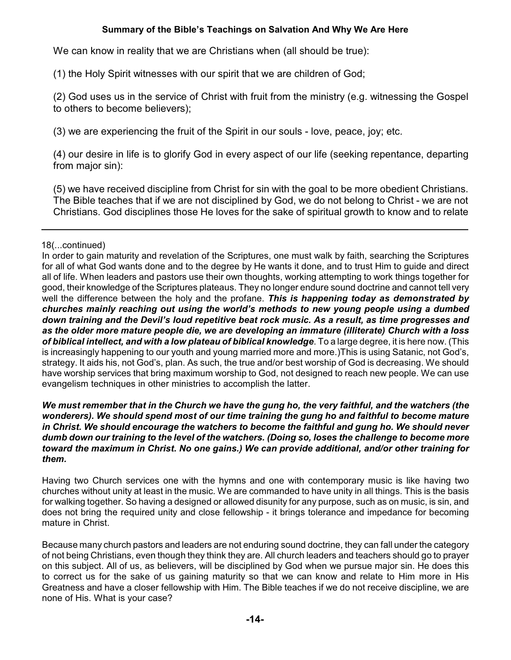We can know in reality that we are Christians when (all should be true):

(1) the Holy Spirit witnesses with our spirit that we are children of God;

(2) God uses us in the service of Christ with fruit from the ministry (e.g. witnessing the Gospel to others to become believers);

(3) we are experiencing the fruit of the Spirit in our souls - love, peace, joy; etc.

(4) our desire in life is to glorify God in every aspect of our life (seeking repentance, departing from major sin):

(5) we have received discipline from Christ for sin with the goal to be more obedient Christians. The Bible teaches that if we are not disciplined by God, we do not belong to Christ - we are not Christians. God disciplines those He loves for the sake of spiritual growth to know and to relate

#### 18(...continued)

In order to gain maturity and revelation of the Scriptures, one must walk by faith, searching the Scriptures for all of what God wants done and to the degree by He wants it done, and to trust Him to guide and direct all of life. When leaders and pastors use their own thoughts, working attempting to work things together for good, their knowledge of the Scriptures plateaus. They no longer endure sound doctrine and cannot tell very well the difference between the holy and the profane. *This is happening today as demonstrated by churches mainly reaching out using the world's methods to new young people using a dumbed down training and the Devil's loud repetitive beat rock music. As a result, as time progresses and as the older more mature people die, we are developing an immature (illiterate) Church with a loss of biblical intellect, and with a low plateau of biblical knowledge*. To a large degree, it is here now. (This is increasingly happening to our youth and young married more and more.)This is using Satanic, not God's, strategy. It aids his, not God's, plan. As such, the true and/or best worship of God is decreasing. We should have worship services that bring maximum worship to God, not designed to reach new people. We can use evangelism techniques in other ministries to accomplish the latter.

#### *We must remember that in the Church we have the gung ho, the very faithful, and the watchers (the wonderers). We should spend most of our time training the gung ho and faithful to become mature in Christ. We should encourage the watchers to become the faithful and gung ho. We should never dumb down our training to the level of the watchers. (Doing so, loses the challenge to become more toward the maximum in Christ. No one gains.) We can provide additional, and/or other training for them.*

Having two Church services one with the hymns and one with contemporary music is like having two churches without unity at least in the music. We are commanded to have unity in all things. This is the basis for walking together. So having a designed or allowed disunity for any purpose, such as on music, is sin, and does not bring the required unity and close fellowship - it brings tolerance and impedance for becoming mature in Christ.

Because many church pastors and leaders are not enduring sound doctrine, they can fall under the category of not being Christians, even though they think they are. All church leaders and teachers should go to prayer on this subject. All of us, as believers, will be disciplined by God when we pursue major sin. He does this to correct us for the sake of us gaining maturity so that we can know and relate to Him more in His Greatness and have a closer fellowship with Him. The Bible teaches if we do not receive discipline, we are none of His. What is your case?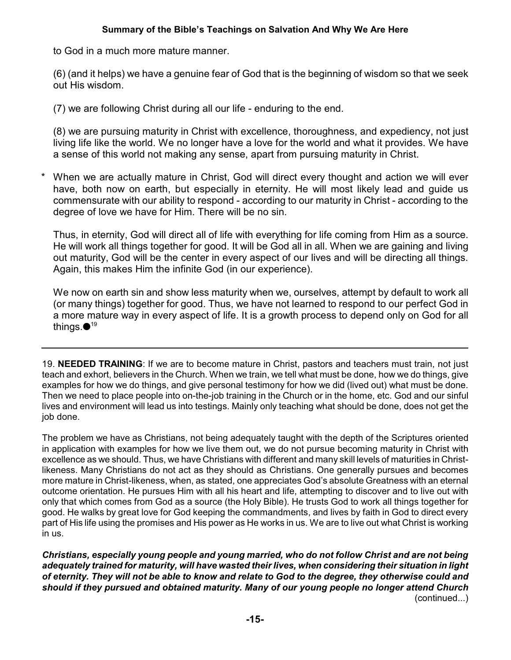to God in a much more mature manner.

(6) (and it helps) we have a genuine fear of God that is the beginning of wisdom so that we seek out His wisdom.

(7) we are following Christ during all our life - enduring to the end.

(8) we are pursuing maturity in Christ with excellence, thoroughness, and expediency, not just living life like the world. We no longer have a love for the world and what it provides. We have a sense of this world not making any sense, apart from pursuing maturity in Christ.

When we are actually mature in Christ, God will direct every thought and action we will ever have, both now on earth, but especially in eternity. He will most likely lead and guide us commensurate with our ability to respond - according to our maturity in Christ - according to the degree of love we have for Him. There will be no sin.

Thus, in eternity, God will direct all of life with everything for life coming from Him as a source. He will work all things together for good. It will be God all in all. When we are gaining and living out maturity, God will be the center in every aspect of our lives and will be directing all things. Again, this makes Him the infinite God (in our experience).

We now on earth sin and show less maturity when we, ourselves, attempt by default to work all (or many things) together for good. Thus, we have not learned to respond to our perfect God in a more mature way in every aspect of life. It is a growth process to depend only on God for all things. $\bullet$ 19

19. **NEEDED TRAINING**: If we are to become mature in Christ, pastors and teachers must train, not just teach and exhort, believers in the Church. When we train, we tell what must be done, how we do things, give examples for how we do things, and give personal testimony for how we did (lived out) what must be done. Then we need to place people into on-the-job training in the Church or in the home, etc. God and our sinful lives and environment will lead us into testings. Mainly only teaching what should be done, does not get the job done.

The problem we have as Christians, not being adequately taught with the depth of the Scriptures oriented in application with examples for how we live them out, we do not pursue becoming maturity in Christ with excellence as we should. Thus, we have Christians with different and many skill levels of maturities in Christlikeness. Many Christians do not act as they should as Christians. One generally pursues and becomes more mature in Christ-likeness, when, as stated, one appreciates God's absolute Greatness with an eternal outcome orientation. He pursues Him with all his heart and life, attempting to discover and to live out with only that which comes from God as a source (the Holy Bible). He trusts God to work all things together for good. He walks by great love for God keeping the commandments, and lives by faith in God to direct every part of His life using the promises and His power as He works in us. We are to live out what Christ is working in us.

*Christians, especially young people and young married, who do not follow Christ and are not being adequately trained for maturity, will have wasted their lives, when considering their situation in light of eternity. They will not be able to know and relate to God to the degree, they otherwise could and should if they pursued and obtained maturity. Many of our young people no longer attend Church* (continued...)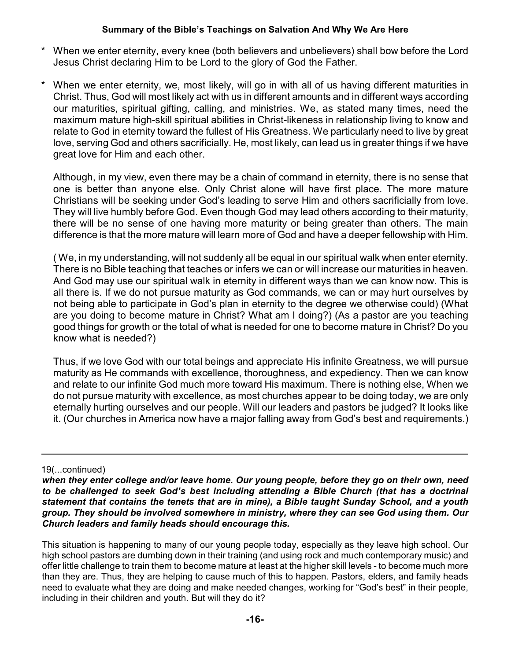- When we enter eternity, every knee (both believers and unbelievers) shall bow before the Lord Jesus Christ declaring Him to be Lord to the glory of God the Father.
- When we enter eternity, we, most likely, will go in with all of us having different maturities in Christ. Thus, God will most likely act with us in different amounts and in different ways according our maturities, spiritual gifting, calling, and ministries. We, as stated many times, need the maximum mature high-skill spiritual abilities in Christ-likeness in relationship living to know and relate to God in eternity toward the fullest of His Greatness. We particularly need to live by great love, serving God and others sacrificially. He, most likely, can lead us in greater things if we have great love for Him and each other.

Although, in my view, even there may be a chain of command in eternity, there is no sense that one is better than anyone else. Only Christ alone will have first place. The more mature Christians will be seeking under God's leading to serve Him and others sacrificially from love. They will live humbly before God. Even though God may lead others according to their maturity, there will be no sense of one having more maturity or being greater than others. The main difference is that the more mature will learn more of God and have a deeper fellowship with Him.

( We, in my understanding, will not suddenly all be equal in our spiritual walk when enter eternity. There is no Bible teaching that teaches or infers we can or will increase our maturities in heaven. And God may use our spiritual walk in eternity in different ways than we can know now. This is all there is. If we do not pursue maturity as God commands, we can or may hurt ourselves by not being able to participate in God's plan in eternity to the degree we otherwise could) (What are you doing to become mature in Christ? What am I doing?) (As a pastor are you teaching good things for growth or the total of what is needed for one to become mature in Christ? Do you know what is needed?)

Thus, if we love God with our total beings and appreciate His infinite Greatness, we will pursue maturity as He commands with excellence, thoroughness, and expediency. Then we can know and relate to our infinite God much more toward His maximum. There is nothing else, When we do not pursue maturity with excellence, as most churches appear to be doing today, we are only eternally hurting ourselves and our people. Will our leaders and pastors be judged? It looks like it. (Our churches in America now have a major falling away from God's best and requirements.)

#### 19(...continued)

This situation is happening to many of our young people today, especially as they leave high school. Our high school pastors are dumbing down in their training (and using rock and much contemporary music) and offer little challenge to train them to become mature at least at the higher skill levels - to become much more than they are. Thus, they are helping to cause much of this to happen. Pastors, elders, and family heads need to evaluate what they are doing and make needed changes, working for "God's best" in their people, including in their children and youth. But will they do it?

*when they enter college and/or leave home. Our young people, before they go on their own, need to be challenged to seek God's best including attending a Bible Church (that has a doctrinal statement that contains the tenets that are in mine), a Bible taught Sunday School, and a youth group. They should be involved somewhere in ministry, where they can see God using them. Our Church leaders and family heads should encourage this.*